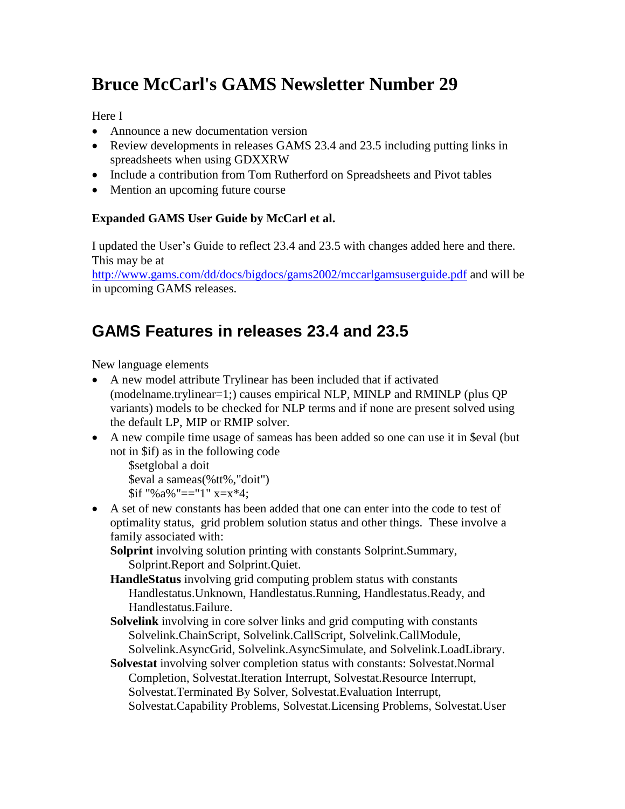# **Bruce McCarl's GAMS Newsletter Number 29**

Here I

- Announce a new documentation version
- Review developments in releases GAMS 23.4 and 23.5 including putting links in spreadsheets when using GDXXRW
- Include a contribution from Tom Rutherford on Spreadsheets and Pivot tables
- Mention an upcoming future course

#### **Expanded GAMS User Guide by McCarl et al.**

I updated the User's Guide to reflect 23.4 and 23.5 with changes added here and there. This may be at

<http://www.gams.com/dd/docs/bigdocs/gams2002/mccarlgamsuserguide.pdf> and will be in upcoming GAMS releases.

#### **GAMS Features in releases 23.4 and 23.5**

New language elements

- A new model attribute Trylinear has been included that if activated (modelname.trylinear=1;) causes empirical NLP, MINLP and RMINLP (plus QP variants) models to be checked for NLP terms and if none are present solved using the default LP, MIP or RMIP solver.
- A new compile time usage of sameas has been added so one can use it in \$eval (but not in \$if) as in the following code

```
$setglobal a doit
$eval a sameas(%tt%,"doit")
\sin "% a% "=="1" x=x*4;
```
 A set of new constants has been added that one can enter into the code to test of optimality status, grid problem solution status and other things. These involve a family associated with:

**Solprint** involving solution printing with constants Solprint.Summary, Solprint.Report and Solprint.Quiet.

- **HandleStatus** involving grid computing problem status with constants Handlestatus.Unknown, Handlestatus.Running, Handlestatus.Ready, and Handlestatus.Failure.
- **Solvelink** involving in core solver links and grid computing with constants Solvelink.ChainScript, Solvelink.CallScript, Solvelink.CallModule, Solvelink.AsyncGrid, Solvelink.AsyncSimulate, and Solvelink.LoadLibrary.
- **Solvestat** involving solver completion status with constants: Solvestat.Normal Completion, Solvestat.Iteration Interrupt, Solvestat.Resource Interrupt, Solvestat.Terminated By Solver, Solvestat.Evaluation Interrupt, Solvestat.Capability Problems, Solvestat.Licensing Problems, Solvestat.User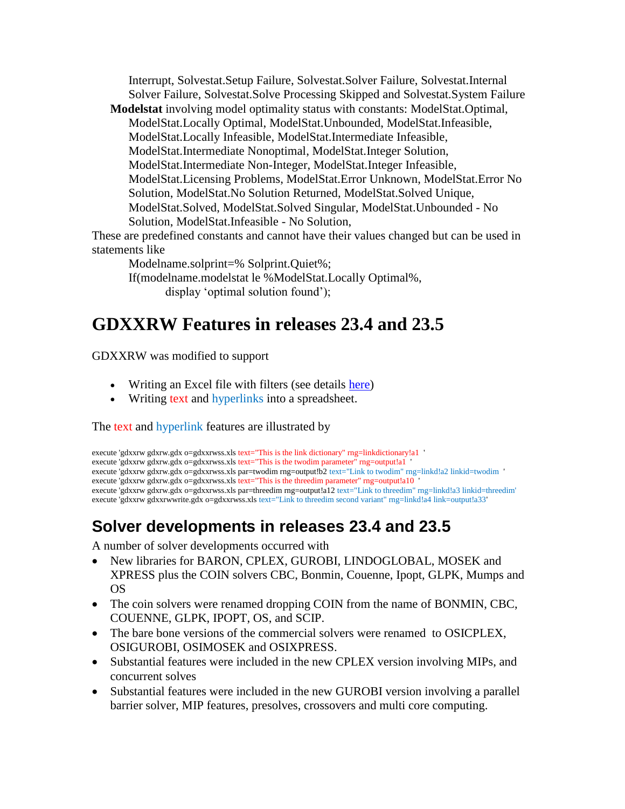Interrupt, Solvestat.Setup Failure, Solvestat.Solver Failure, Solvestat.Internal Solver Failure, Solvestat.Solve Processing Skipped and Solvestat.System Failure

**Modelstat** involving model optimality status with constants: ModelStat.Optimal, ModelStat.Locally Optimal, ModelStat.Unbounded, ModelStat.Infeasible, ModelStat.Locally Infeasible, ModelStat.Intermediate Infeasible, ModelStat.Intermediate Nonoptimal, ModelStat.Integer Solution, ModelStat.Intermediate Non-Integer, ModelStat.Integer Infeasible, ModelStat.Licensing Problems, ModelStat.Error Unknown, ModelStat.Error No Solution, ModelStat.No Solution Returned, ModelStat.Solved Unique, ModelStat.Solved, ModelStat.Solved Singular, ModelStat.Unbounded - No Solution, ModelStat.Infeasible - No Solution,

These are predefined constants and cannot have their values changed but can be used in statements like

Modelname.solprint=% Solprint.Quiet%; If(modelname.modelstat le %ModelStat.Locally Optimal%, display 'optimal solution found');

## **GDXXRW Features in releases 23.4 and 23.5**

GDXXRW was modified to support

- Writing an Excel file with filters (see details [here\)](http://www.gams.com/dd/docs/tools/gdxutils.pdf)
- Writing text and hyperlinks into a spreadsheet.

The text and hyperlink features are illustrated by

```
execute 'gdxxrw gdxrw.gdx o=gdxxrwss.xls text="This is the link dictionary" rng=linkdictionary!a1 '
execute 'gdxxrw gdxrw.gdx o=gdxxrwss.xls text="This is the twodim parameter" rng=output!a1
execute 'gdxxrw gdxrw.gdx o=gdxxrwss.xls par=twodim rng=output!b2 text="Link to twodim" rng=linkd!a2 linkid=twodim '
execute 'gdxxrw gdxrw.gdx o=gdxxrwss.xls text="This is the threedim parameter" rng=output!a10
execute 'gdxxrw gdxrw.gdx o=gdxxrwss.xls par=threedim rng=output!a12 text="Link to threedim" rng=linkd!a3 linkid=threedim'
execute 'gdxxrw gdxxrwwrite.gdx o=gdxxrwss.xls text="Link to threedim second variant" rng=linkd!a4 link=output!a33'
```
### **Solver developments in releases 23.4 and 23.5**

A number of solver developments occurred with

- New libraries for BARON, CPLEX, GUROBI, LINDOGLOBAL, MOSEK and XPRESS plus the COIN solvers CBC, Bonmin, Couenne, Ipopt, GLPK, Mumps and OS
- The coin solvers were renamed dropping COIN from the name of BONMIN, CBC, COUENNE, GLPK, IPOPT, OS, and SCIP.
- The bare bone versions of the commercial solvers were renamed to OSICPLEX, OSIGUROBI, OSIMOSEK and OSIXPRESS.
- Substantial features were included in the new CPLEX version involving MIPs, and concurrent solves
- Substantial features were included in the new GUROBI version involving a parallel barrier solver, MIP features, presolves, crossovers and multi core computing.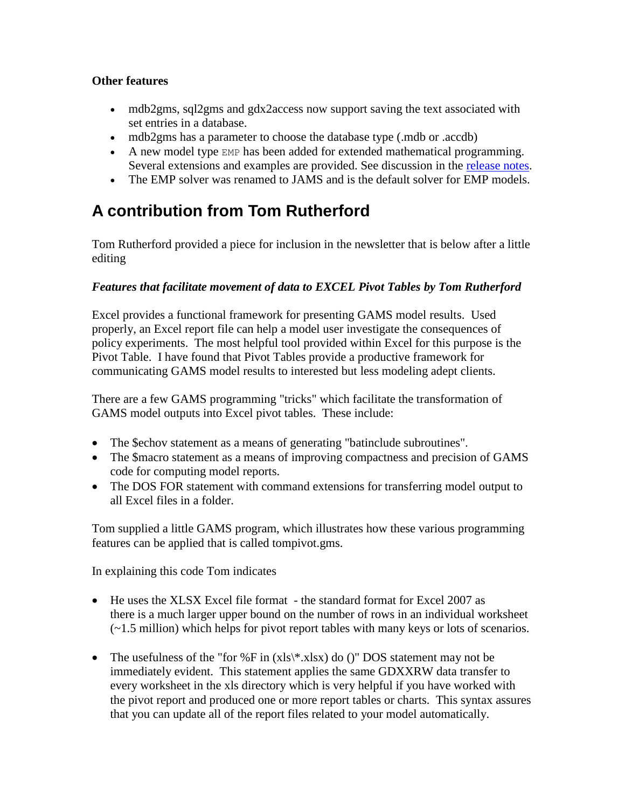#### **Other features**

- mdb2gms, sql2gms and gdx2access now support saving the text associated with set entries in a database.
- mdb2gms has a parameter to choose the database type (.mdb or .accdb)
- A new model type EMP has been added for extended mathematical programming. Several extensions and examples are provided. See discussion in the [release notes.](http://www.gams.com/docs/release/release.htm)
- The EMP solver was renamed to JAMS and is the default solver for EMP models.

### **A contribution from Tom Rutherford**

Tom Rutherford provided a piece for inclusion in the newsletter that is below after a little editing

#### *Features that facilitate movement of data to EXCEL Pivot Tables by Tom Rutherford*

Excel provides a functional framework for presenting GAMS model results. Used properly, an Excel report file can help a model user investigate the consequences of policy experiments. The most helpful tool provided within Excel for this purpose is the Pivot Table. I have found that Pivot Tables provide a productive framework for communicating GAMS model results to interested but less modeling adept clients.

There are a few GAMS programming "tricks" which facilitate the transformation of GAMS model outputs into Excel pivot tables. These include:

- The \$echov statement as a means of generating "batinclude subroutines".
- The \$macro statement as a means of improving compactness and precision of GAMS code for computing model reports.
- The DOS FOR statement with command extensions for transferring model output to all Excel files in a folder.

Tom supplied a little GAMS program, which illustrates how these various programming features can be applied that is called tompivot.gms.

In explaining this code Tom indicates

- He uses the XLSX Excel file format the standard format for Excel 2007 as there is a much larger upper bound on the number of rows in an individual worksheet (~1.5 million) which helps for pivot report tables with many keys or lots of scenarios.
- The usefulness of the "for %F in  $(xls\$ \*.xlsx) do ()" DOS statement may not be immediately evident. This statement applies the same GDXXRW data transfer to every worksheet in the xls directory which is very helpful if you have worked with the pivot report and produced one or more report tables or charts. This syntax assures that you can update all of the report files related to your model automatically.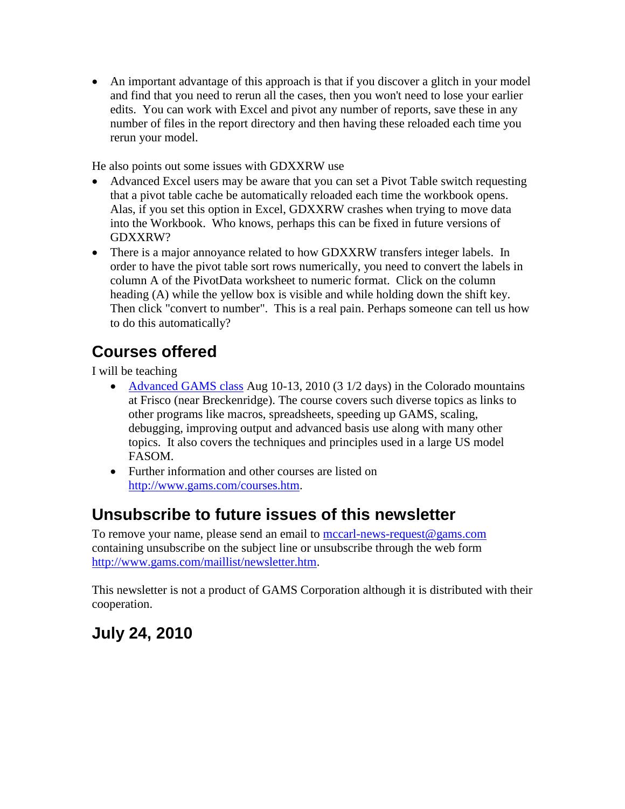An important advantage of this approach is that if you discover a glitch in your model and find that you need to rerun all the cases, then you won't need to lose your earlier edits. You can work with Excel and pivot any number of reports, save these in any number of files in the report directory and then having these reloaded each time you rerun your model.

He also points out some issues with GDXXRW use

- Advanced Excel users may be aware that you can set a Pivot Table switch requesting that a pivot table cache be automatically reloaded each time the workbook opens. Alas, if you set this option in Excel, GDXXRW crashes when trying to move data into the Workbook. Who knows, perhaps this can be fixed in future versions of GDXXRW?
- There is a major annoyance related to how GDXXRW transfers integer labels. In order to have the pivot table sort rows numerically, you need to convert the labels in column A of the PivotData worksheet to numeric format. Click on the column heading (A) while the yellow box is visible and while holding down the shift key. Then click "convert to number". This is a real pain. Perhaps someone can tell us how to do this automatically?

### **Courses offered**

I will be teaching

- [Advanced GAMS class](http://www.gams.com/mccarl/advanced.htm) Aug 10-13, 2010 (3 1/2 days) in the Colorado mountains at Frisco (near Breckenridge). The course covers such diverse topics as links to other programs like macros, spreadsheets, speeding up GAMS, scaling, debugging, improving output and advanced basis use along with many other topics. It also covers the techniques and principles used in a large US model FASOM.
- Further information and other courses are listed on [http://www.gams.com/courses.htm.](http://www.gams.com/courses.htm)

### **Unsubscribe to future issues of this newsletter**

To remove your name, please send an email to [mccarl-news-request@gams.com](mailto:mccarl-news-request@gams.com) containing unsubscribe on the subject line or unsubscribe through the web form [http://www.gams.com/maillist/newsletter.htm.](http://www.gams.com/maillist/newsletter.htm)

This newsletter is not a product of GAMS Corporation although it is distributed with their cooperation.

### **July 24, 2010**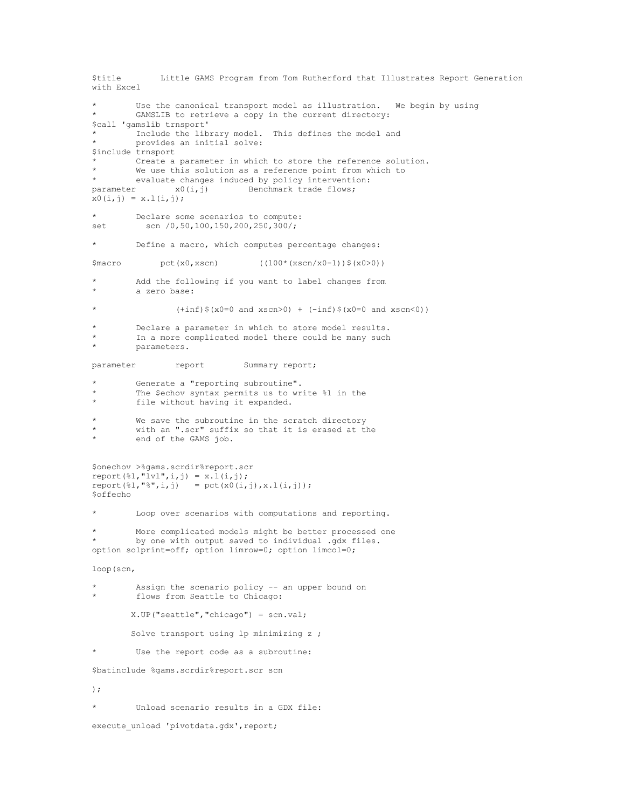```
$title Little GAMS Program from Tom Rutherford that Illustrates Report Generation 
with Excel
        Use the canonical transport model as illustration. We begin by using
        GAMSLIB to retrieve a copy in the current directory:
$call 'gamslib trnsport'
        Include the library model. This defines the model and
        provides an initial solve:
$include trnsport
        Create a parameter in which to store the reference solution.
        We use this solution as a reference point from which to
* evaluate changes induced by policy intervention:<br>parameter x0(i,j) Benchmark trade flows;
                x0(i,j) Benchmark trade flows;
x0(i,j) = x.l(i,j);Declare some scenarios to compute:
set scn /0,50,100,150,200,250,300/;
* Define a macro, which computes percentage changes:
$macro pct(x0,xscn) ((100*(xscn/x0-1))$(x0>0))
        Add the following if you want to label changes from
        a zero base:
                 (+inf)$(x0=0 and xscn>0) + (-inf)$(x0=0 and xscn<0))
        Declare a parameter in which to store model results.
        In a more complicated model there could be many such
        parameters.
parameter report Summary report;
        Generate a "reporting subroutine".
        The $echov syntax permits us to write %1 in the
* file without having it expanded.
        We save the subroutine in the scratch directory
        with an ".scr" suffix so that it is erased at the
        end of the GAMS job.
$onechov >%gams.scrdir%report.scr
report(\frac{1}{2}, "ivl", i, j) = x.l(i, j);report(\frac{81}{1}, \frac{18}{1}, i) = pct(x0(i, i), x.l(i, i));$offecho
        Loop over scenarios with computations and reporting.
        More complicated models might be better processed one
        by one with output saved to individual .gdx files.
option solprint=off; option limrow=0; option limcol=0;
loop(scn,
        Assign the scenario policy -- an upper bound on
        flows from Seattle to Chicago:
         X.UP("seattle","chicago") = scn.val;
        Solve transport using 1p minimizing z ;
        Use the report code as a subroutine:
$batinclude %gams.scrdir%report.scr scn
);
* Unload scenario results in a GDX file:
execute unload 'pivotdata.gdx', report;
```